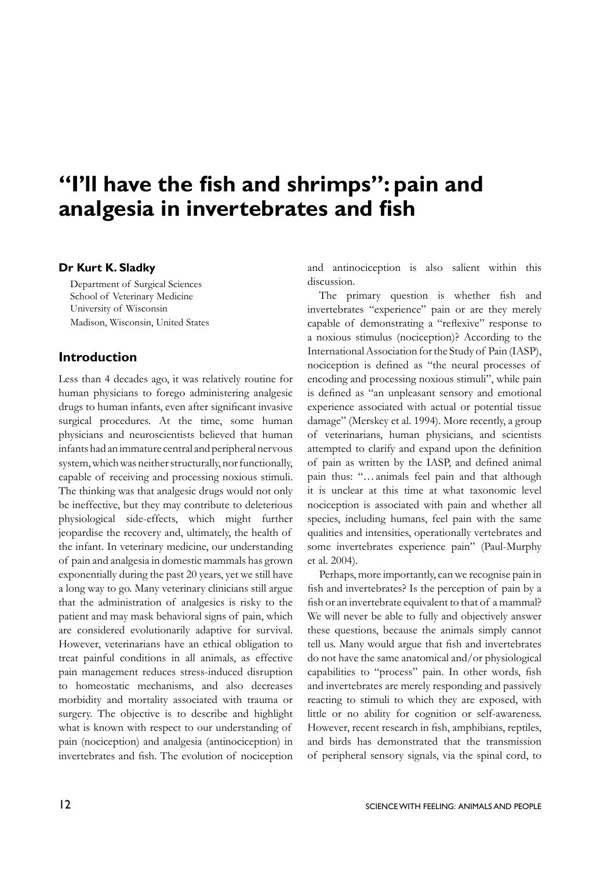# **"I'll have the fish and shrimps": pain and analgesia in invertebrates and fish**

#### **Dr Kurt K. Sladky**

Department of Surgical Sciences School of Veterinary Medicine University of Wisconsin Madison, Wisconsin, United States

### **Introduction**

Less than 4 decades ago, it was relatively routine for human physicians to forego administering analgesic drugs to human infants, even after significant invasive surgical procedures. At the time, some human physicians and neuroscientists believed that human infants had an immature central and peripheral nervous system, which was neither structurally, nor functionally, capable of receiving and processing noxious stimuli. The thinking was that analgesic drugs would not only be ineffective, but they may contribute to deleterious physiological side-effects, which might further jeopardise the recovery and, ultimately, the health of the infant. In veterinary medicine, our understanding of pain and analgesia in domestic mammals has grown exponentially during the past 20 years, yet we still have a long way to go. Many veterinary clinicians still argue that the administration of analgesics is risky to the patient and may mask behavioral signs of pain, which are considered evolutionarily adaptive for survival. However, veterinarians have an ethical obligation to treat painful conditions in all animals, as effective pain management reduces stress-induced disruption to homeostatic mechanisms, and also decreases morbidity and mortality associated with trauma or surgery. The objective is to describe and highlight what is known with respect to our understanding of pain (nociception) and analgesia (antinociception) in invertebrates and fish. The evolution of nociception and antinociception is also salient within this discussion.

The primary question is whether fish and invertebrates "experience" pain or are they merely capable of demonstrating a "reflexive" response to a noxious stimulus (nociception)? According to the International Association for the Study of Pain (IASP), nociception is defined as "the neural processes of encoding and processing noxious stimuli", while pain is defined as "an unpleasant sensory and emotional experience associated with actual or potential tissue damage" (Merskey et al. 1994). More recently, a group of veterinarians, human physicians, and scientists attempted to clarify and expand upon the definition of pain as written by the IASP, and defined animal pain thus: "…animals feel pain and that although it is unclear at this time at what taxonomic level nociception is associated with pain and whether all species, including humans, feel pain with the same qualities and intensities, operationally vertebrates and some invertebrates experience pain" (Paul-Murphy et al. 2004).

Perhaps, more importantly, can we recognise pain in fish and invertebrates? Is the perception of pain by a fish or an invertebrate equivalent to that of a mammal? We will never be able to fully and objectively answer these questions, because the animals simply cannot tell us. Many would argue that fish and invertebrates do not have the same anatomical and/or physiological capabilities to "process" pain. In other words, fish and invertebrates are merely responding and passively reacting to stimuli to which they are exposed, with little or no ability for cognition or self-awareness. However, recent research in fish, amphibians, reptiles, and birds has demonstrated that the transmission of peripheral sensory signals, via the spinal cord, to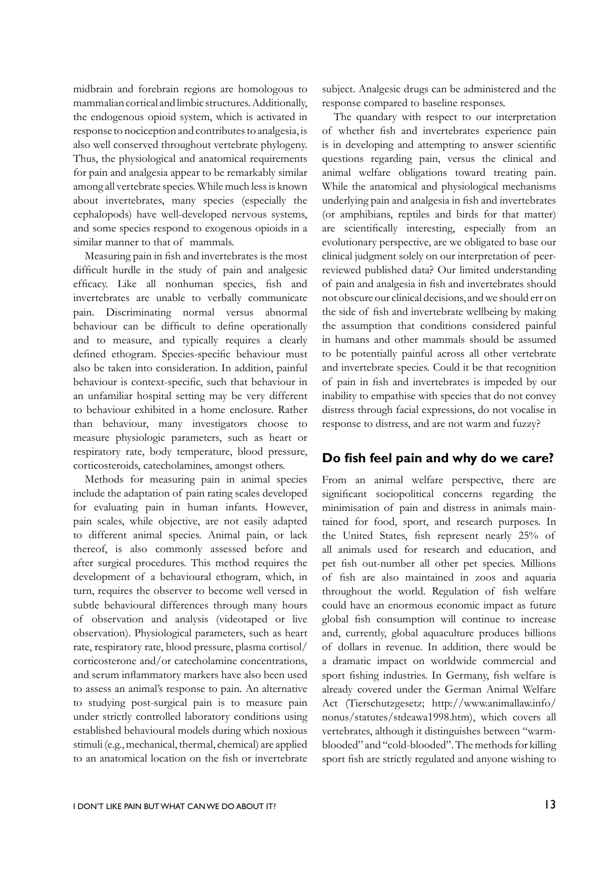midbrain and forebrain regions are homologous to mammalian cortical and limbic structures. Additionally, the endogenous opioid system, which is activated in response to nociception and contributes to analgesia, is also well conserved throughout vertebrate phylogeny. Thus, the physiological and anatomical requirements for pain and analgesia appear to be remarkably similar among all vertebrate species. While much less is known about invertebrates, many species (especially the cephalopods) have well-developed nervous systems, and some species respond to exogenous opioids in a similar manner to that of mammals.

Measuring pain in fish and invertebrates is the most difficult hurdle in the study of pain and analgesic efficacy. Like all nonhuman species, fish and invertebrates are unable to verbally communicate pain. Discriminating normal versus abnormal behaviour can be difficult to define operationally and to measure, and typically requires a clearly defined ethogram. Species-specific behaviour must also be taken into consideration. In addition, painful behaviour is context-specific, such that behaviour in an unfamiliar hospital setting may be very different to behaviour exhibited in a home enclosure. Rather than behaviour, many investigators choose to measure physiologic parameters, such as heart or respiratory rate, body temperature, blood pressure, corticosteroids, catecholamines, amongst others.

Methods for measuring pain in animal species include the adaptation of pain rating scales developed for evaluating pain in human infants. However, pain scales, while objective, are not easily adapted to different animal species. Animal pain, or lack thereof, is also commonly assessed before and after surgical procedures. This method requires the development of a behavioural ethogram, which, in turn, requires the observer to become well versed in subtle behavioural differences through many hours of observation and analysis (videotaped or live observation). Physiological parameters, such as heart rate, respiratory rate, blood pressure, plasma cortisol/ corticosterone and/or catecholamine concentrations, and serum inflammatory markers have also been used to assess an animal's response to pain. An alternative to studying post-surgical pain is to measure pain under strictly controlled laboratory conditions using established behavioural models during which noxious stimuli (e.g., mechanical, thermal, chemical) are applied to an anatomical location on the fish or invertebrate subject. Analgesic drugs can be administered and the response compared to baseline responses.

The quandary with respect to our interpretation of whether fish and invertebrates experience pain is in developing and attempting to answer scientific questions regarding pain, versus the clinical and animal welfare obligations toward treating pain. While the anatomical and physiological mechanisms underlying pain and analgesia in fish and invertebrates (or amphibians, reptiles and birds for that matter) are scientifically interesting, especially from an evolutionary perspective, are we obligated to base our clinical judgment solely on our interpretation of peerreviewed published data? Our limited understanding of pain and analgesia in fish and invertebrates should not obscure our clinical decisions, and we should err on the side of fish and invertebrate wellbeing by making the assumption that conditions considered painful in humans and other mammals should be assumed to be potentially painful across all other vertebrate and invertebrate species. Could it be that recognition of pain in fish and invertebrates is impeded by our inability to empathise with species that do not convey distress through facial expressions, do not vocalise in response to distress, and are not warm and fuzzy?

#### **Do fish feel pain and why do we care?**

From an animal welfare perspective, there are significant sociopolitical concerns regarding the minimisation of pain and distress in animals maintained for food, sport, and research purposes. In the United States, fish represent nearly 25% of all animals used for research and education, and pet fish out-number all other pet species. Millions of fish are also maintained in zoos and aquaria throughout the world. Regulation of fish welfare could have an enormous economic impact as future global fish consumption will continue to increase and, currently, global aquaculture produces billions of dollars in revenue. In addition, there would be a dramatic impact on worldwide commercial and sport fishing industries. In Germany, fish welfare is already covered under the German Animal Welfare Act (Tierschutzgesetz; http://www.animallaw.info/ nonus/statutes/stdeawa1998.htm), which covers all vertebrates, although it distinguishes between "warmblooded" and "cold-blooded". The methods for killing sport fish are strictly regulated and anyone wishing to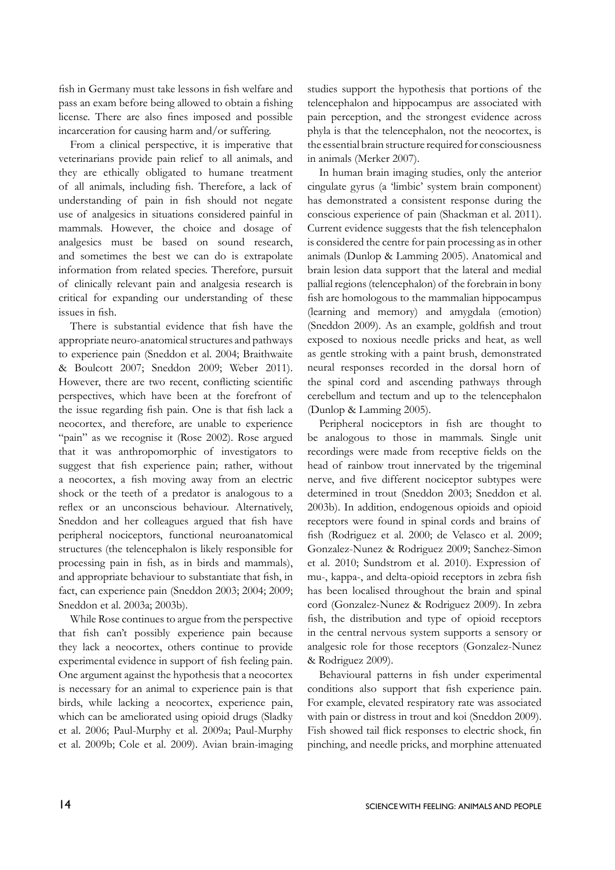fish in Germany must take lessons in fish welfare and pass an exam before being allowed to obtain a fishing license. There are also fines imposed and possible incarceration for causing harm and/or suffering.

From a clinical perspective, it is imperative that veterinarians provide pain relief to all animals, and they are ethically obligated to humane treatment of all animals, including fish. Therefore, a lack of understanding of pain in fish should not negate use of analgesics in situations considered painful in mammals. However, the choice and dosage of analgesics must be based on sound research, and sometimes the best we can do is extrapolate information from related species. Therefore, pursuit of clinically relevant pain and analgesia research is critical for expanding our understanding of these issues in fish.

There is substantial evidence that fish have the appropriate neuro-anatomical structures and pathways to experience pain (Sneddon et al. 2004; Braithwaite & Boulcott 2007; Sneddon 2009; Weber 2011). However, there are two recent, conflicting scientific perspectives, which have been at the forefront of the issue regarding fish pain. One is that fish lack a neocortex, and therefore, are unable to experience "pain" as we recognise it (Rose 2002). Rose argued that it was anthropomorphic of investigators to suggest that fish experience pain; rather, without a neocortex, a fish moving away from an electric shock or the teeth of a predator is analogous to a reflex or an unconscious behaviour. Alternatively, Sneddon and her colleagues argued that fish have peripheral nociceptors, functional neuroanatomical structures (the telencephalon is likely responsible for processing pain in fish, as in birds and mammals), and appropriate behaviour to substantiate that fish, in fact, can experience pain (Sneddon 2003; 2004; 2009; Sneddon et al. 2003a; 2003b).

While Rose continues to argue from the perspective that fish can't possibly experience pain because they lack a neocortex, others continue to provide experimental evidence in support of fish feeling pain. One argument against the hypothesis that a neocortex is necessary for an animal to experience pain is that birds, while lacking a neocortex, experience pain, which can be ameliorated using opioid drugs (Sladky et al. 2006; Paul-Murphy et al. 2009a; Paul-Murphy et al. 2009b; Cole et al. 2009). Avian brain-imaging

studies support the hypothesis that portions of the telencephalon and hippocampus are associated with pain perception, and the strongest evidence across phyla is that the telencephalon, not the neocortex, is the essential brain structure required for consciousness in animals (Merker 2007).

In human brain imaging studies, only the anterior cingulate gyrus (a 'limbic' system brain component) has demonstrated a consistent response during the conscious experience of pain (Shackman et al. 2011). Current evidence suggests that the fish telencephalon is considered the centre for pain processing as in other animals (Dunlop & Lamming 2005). Anatomical and brain lesion data support that the lateral and medial pallial regions (telencephalon) of the forebrain in bony fish are homologous to the mammalian hippocampus (learning and memory) and amygdala (emotion) (Sneddon 2009). As an example, goldfish and trout exposed to noxious needle pricks and heat, as well as gentle stroking with a paint brush, demonstrated neural responses recorded in the dorsal horn of the spinal cord and ascending pathways through cerebellum and tectum and up to the telencephalon (Dunlop & Lamming 2005).

Peripheral nociceptors in fish are thought to be analogous to those in mammals. Single unit recordings were made from receptive fields on the head of rainbow trout innervated by the trigeminal nerve, and five different nociceptor subtypes were determined in trout (Sneddon 2003; Sneddon et al. 2003b). In addition, endogenous opioids and opioid receptors were found in spinal cords and brains of fish (Rodriguez et al. 2000; de Velasco et al. 2009; Gonzalez-Nunez & Rodriguez 2009; Sanchez-Simon et al. 2010; Sundstrom et al. 2010). Expression of mu-, kappa-, and delta-opioid receptors in zebra fish has been localised throughout the brain and spinal cord (Gonzalez-Nunez & Rodriguez 2009). In zebra fish, the distribution and type of opioid receptors in the central nervous system supports a sensory or analgesic role for those receptors (Gonzalez-Nunez & Rodriguez 2009).

Behavioural patterns in fish under experimental conditions also support that fish experience pain. For example, elevated respiratory rate was associated with pain or distress in trout and koi (Sneddon 2009). Fish showed tail flick responses to electric shock, fin pinching, and needle pricks, and morphine attenuated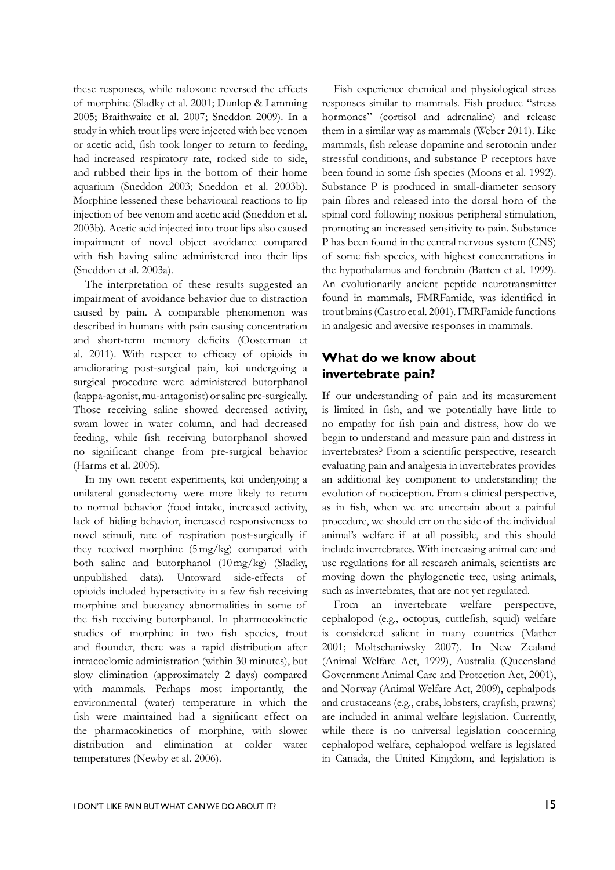these responses, while naloxone reversed the effects of morphine (Sladky et al. 2001; Dunlop & Lamming 2005; Braithwaite et al. 2007; Sneddon 2009). In a study in which trout lips were injected with bee venom or acetic acid, fish took longer to return to feeding, had increased respiratory rate, rocked side to side, and rubbed their lips in the bottom of their home aquarium (Sneddon 2003; Sneddon et al. 2003b). Morphine lessened these behavioural reactions to lip injection of bee venom and acetic acid (Sneddon et al. 2003b). Acetic acid injected into trout lips also caused impairment of novel object avoidance compared with fish having saline administered into their lips (Sneddon et al. 2003a).

The interpretation of these results suggested an impairment of avoidance behavior due to distraction caused by pain. A comparable phenomenon was described in humans with pain causing concentration and short-term memory deficits (Oosterman et al. 2011). With respect to efficacy of opioids in ameliorating post-surgical pain, koi undergoing a surgical procedure were administered butorphanol (kappa-agonist, mu-antagonist) or saline pre-surgically. Those receiving saline showed decreased activity, swam lower in water column, and had decreased feeding, while fish receiving butorphanol showed no significant change from pre-surgical behavior (Harms et al. 2005).

In my own recent experiments, koi undergoing a unilateral gonadectomy were more likely to return to normal behavior (food intake, increased activity, lack of hiding behavior, increased responsiveness to novel stimuli, rate of respiration post-surgically if they received morphine (5mg/kg) compared with both saline and butorphanol (10mg/kg) (Sladky, unpublished data). Untoward side-effects of opioids included hyperactivity in a few fish receiving morphine and buoyancy abnormalities in some of the fish receiving butorphanol. In pharmocokinetic studies of morphine in two fish species, trout and flounder, there was a rapid distribution after intracoelomic administration (within 30 minutes), but slow elimination (approximately 2 days) compared with mammals. Perhaps most importantly, the environmental (water) temperature in which the fish were maintained had a significant effect on the pharmacokinetics of morphine, with slower distribution and elimination at colder water temperatures (Newby et al. 2006).

Fish experience chemical and physiological stress responses similar to mammals. Fish produce "stress hormones" (cortisol and adrenaline) and release them in a similar way as mammals (Weber 2011). Like mammals, fish release dopamine and serotonin under stressful conditions, and substance P receptors have been found in some fish species (Moons et al. 1992). Substance P is produced in small-diameter sensory pain fibres and released into the dorsal horn of the spinal cord following noxious peripheral stimulation, promoting an increased sensitivity to pain. Substance P has been found in the central nervous system (CNS) of some fish species, with highest concentrations in the hypothalamus and forebrain (Batten et al. 1999). An evolutionarily ancient peptide neurotransmitter found in mammals, FMRFamide, was identified in trout brains (Castro et al. 2001). FMRFamide functions in analgesic and aversive responses in mammals.

## **What do we know about invertebrate pain?**

If our understanding of pain and its measurement is limited in fish, and we potentially have little to no empathy for fish pain and distress, how do we begin to understand and measure pain and distress in invertebrates? From a scientific perspective, research evaluating pain and analgesia in invertebrates provides an additional key component to understanding the evolution of nociception. From a clinical perspective, as in fish, when we are uncertain about a painful procedure, we should err on the side of the individual animal's welfare if at all possible, and this should include invertebrates. With increasing animal care and use regulations for all research animals, scientists are moving down the phylogenetic tree, using animals, such as invertebrates, that are not yet regulated.

From an invertebrate welfare perspective, cephalopod (e.g., octopus, cuttlefish, squid) welfare is considered salient in many countries (Mather 2001; Moltschaniwsky 2007). In New Zealand (Animal Welfare Act, 1999), Australia (Queensland Government Animal Care and Protection Act, 2001), and Norway (Animal Welfare Act, 2009), cephalpods and crustaceans (e.g., crabs, lobsters, crayfish, prawns) are included in animal welfare legislation. Currently, while there is no universal legislation concerning cephalopod welfare, cephalopod welfare is legislated in Canada, the United Kingdom, and legislation is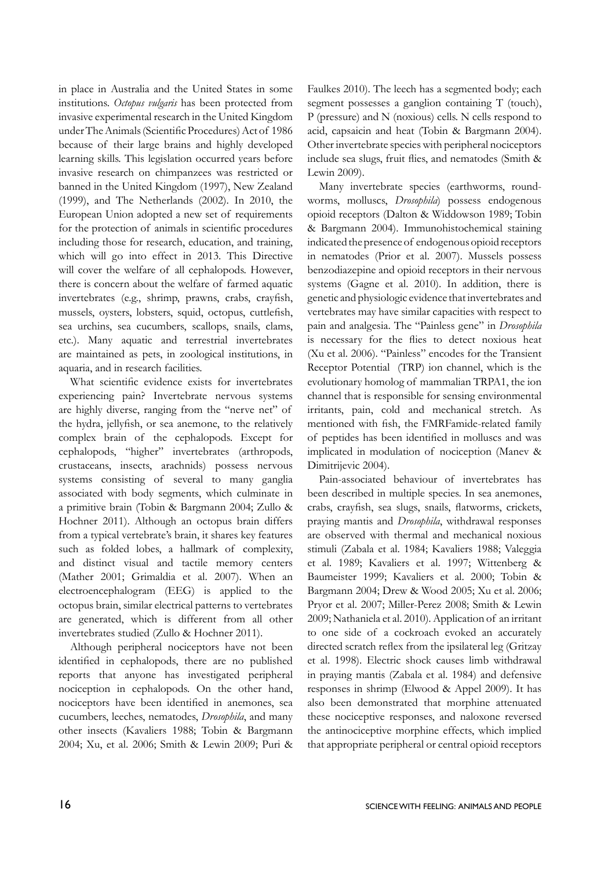in place in Australia and the United States in some institutions. *Octopus vulgaris* has been protected from invasive experimental research in the United Kingdom under The Animals (Scientific Procedures) Act of 1986 because of their large brains and highly developed learning skills. This legislation occurred years before invasive research on chimpanzees was restricted or banned in the United Kingdom (1997), New Zealand (1999), and The Netherlands (2002). In 2010, the European Union adopted a new set of requirements for the protection of animals in scientific procedures including those for research, education, and training, which will go into effect in 2013. This Directive will cover the welfare of all cephalopods. However, there is concern about the welfare of farmed aquatic invertebrates (e.g., shrimp, prawns, crabs, crayfish, mussels, oysters, lobsters, squid, octopus, cuttlefish, sea urchins, sea cucumbers, scallops, snails, clams, etc.). Many aquatic and terrestrial invertebrates are maintained as pets, in zoological institutions, in aquaria, and in research facilities.

What scientific evidence exists for invertebrates experiencing pain? Invertebrate nervous systems are highly diverse, ranging from the "nerve net" of the hydra, jellyfish, or sea anemone, to the relatively complex brain of the cephalopods. Except for cephalopods, "higher" invertebrates (arthropods, crustaceans, insects, arachnids) possess nervous systems consisting of several to many ganglia associated with body segments, which culminate in a primitive brain (Tobin & Bargmann 2004; Zullo & Hochner 2011). Although an octopus brain differs from a typical vertebrate's brain, it shares key features such as folded lobes, a hallmark of complexity, and distinct visual and tactile memory centers (Mather 2001; Grimaldia et al. 2007). When an electroencephalogram (EEG) is applied to the octopus brain, similar electrical patterns to vertebrates are generated, which is different from all other invertebrates studied (Zullo & Hochner 2011).

Although peripheral nociceptors have not been identified in cephalopods, there are no published reports that anyone has investigated peripheral nociception in cephalopods. On the other hand, nociceptors have been identified in anemones, sea cucumbers, leeches, nematodes, *Drosophila*, and many other insects (Kavaliers 1988; Tobin & Bargmann 2004; Xu, et al. 2006; Smith & Lewin 2009; Puri & Faulkes 2010). The leech has a segmented body; each segment possesses a ganglion containing T (touch), P (pressure) and N (noxious) cells. N cells respond to acid, capsaicin and heat (Tobin & Bargmann 2004). Other invertebrate species with peripheral nociceptors include sea slugs, fruit flies, and nematodes (Smith & Lewin 2009).

Many invertebrate species (earthworms, roundworms, molluscs, *Drosophila*) possess endogenous opioid receptors (Dalton & Widdowson 1989; Tobin & Bargmann 2004). Immunohistochemical staining indicated the presence of endogenous opioid receptors in nematodes (Prior et al. 2007). Mussels possess benzodiazepine and opioid receptors in their nervous systems (Gagne et al. 2010). In addition, there is genetic and physiologic evidence that invertebrates and vertebrates may have similar capacities with respect to pain and analgesia. The "Painless gene" in *Drosophila* is necessary for the flies to detect noxious heat (Xu et al. 2006). "Painless" encodes for the Transient Receptor Potential (TRP) ion channel, which is the evolutionary homolog of mammalian TRPA1, the ion channel that is responsible for sensing environmental irritants, pain, cold and mechanical stretch. As mentioned with fish, the FMRFamide-related family of peptides has been identified in molluscs and was implicated in modulation of nociception (Manev & Dimitrijevic 2004).

Pain-associated behaviour of invertebrates has been described in multiple species. In sea anemones, crabs, crayfish, sea slugs, snails, flatworms, crickets, praying mantis and *Drosophila*, withdrawal responses are observed with thermal and mechanical noxious stimuli (Zabala et al. 1984; Kavaliers 1988; Valeggia et al. 1989; Kavaliers et al. 1997; Wittenberg & Baumeister 1999; Kavaliers et al. 2000; Tobin & Bargmann 2004; Drew & Wood 2005; Xu et al. 2006; Pryor et al. 2007; Miller-Perez 2008; Smith & Lewin 2009; Nathaniela et al. 2010). Application of an irritant to one side of a cockroach evoked an accurately directed scratch reflex from the ipsilateral leg (Gritzay et al. 1998). Electric shock causes limb withdrawal in praying mantis (Zabala et al. 1984) and defensive responses in shrimp (Elwood & Appel 2009). It has also been demonstrated that morphine attenuated these nociceptive responses, and naloxone reversed the antinociceptive morphine effects, which implied that appropriate peripheral or central opioid receptors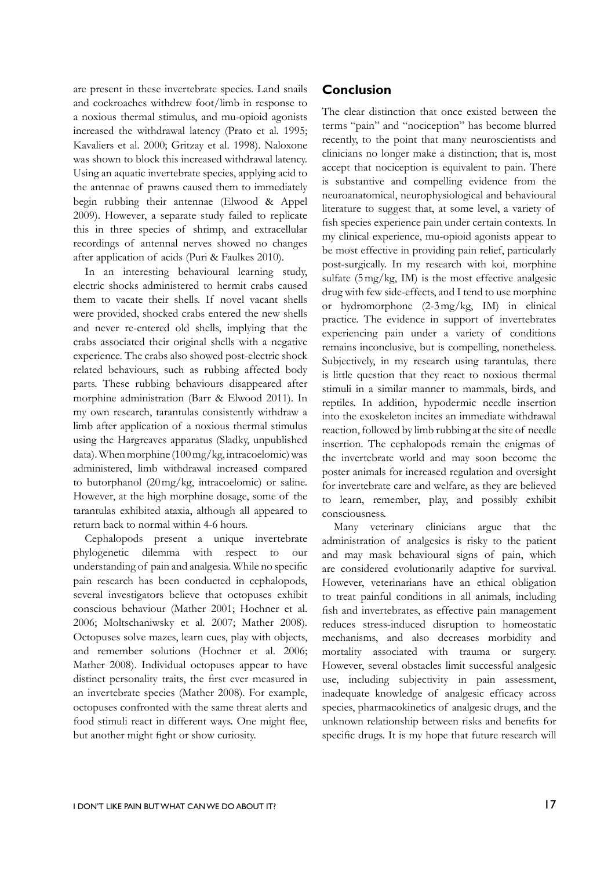are present in these invertebrate species. Land snails and cockroaches withdrew foot/limb in response to a noxious thermal stimulus, and mu-opioid agonists increased the withdrawal latency (Prato et al. 1995; Kavaliers et al. 2000; Gritzay et al. 1998). Naloxone was shown to block this increased withdrawal latency. Using an aquatic invertebrate species, applying acid to the antennae of prawns caused them to immediately begin rubbing their antennae (Elwood & Appel 2009). However, a separate study failed to replicate this in three species of shrimp, and extracellular recordings of antennal nerves showed no changes after application of acids (Puri & Faulkes 2010).

In an interesting behavioural learning study, electric shocks administered to hermit crabs caused them to vacate their shells. If novel vacant shells were provided, shocked crabs entered the new shells and never re-entered old shells, implying that the crabs associated their original shells with a negative experience. The crabs also showed post-electric shock related behaviours, such as rubbing affected body parts. These rubbing behaviours disappeared after morphine administration (Barr & Elwood 2011). In my own research, tarantulas consistently withdraw a limb after application of a noxious thermal stimulus using the Hargreaves apparatus (Sladky, unpublished data). When morphine (100mg/kg, intracoelomic) was administered, limb withdrawal increased compared to butorphanol (20mg/kg, intracoelomic) or saline. However, at the high morphine dosage, some of the tarantulas exhibited ataxia, although all appeared to return back to normal within 4-6 hours.

Cephalopods present a unique invertebrate phylogenetic dilemma with respect to our understanding of pain and analgesia. While no specific pain research has been conducted in cephalopods, several investigators believe that octopuses exhibit conscious behaviour (Mather 2001; Hochner et al. 2006; Moltschaniwsky et al. 2007; Mather 2008). Octopuses solve mazes, learn cues, play with objects, and remember solutions (Hochner et al. 2006; Mather 2008). Individual octopuses appear to have distinct personality traits, the first ever measured in an invertebrate species (Mather 2008). For example, octopuses confronted with the same threat alerts and food stimuli react in different ways. One might flee, but another might fight or show curiosity.

## **Conclusion**

The clear distinction that once existed between the terms "pain" and "nociception" has become blurred recently, to the point that many neuroscientists and clinicians no longer make a distinction; that is, most accept that nociception is equivalent to pain. There is substantive and compelling evidence from the neuroanatomical, neurophysiological and behavioural literature to suggest that, at some level, a variety of fish species experience pain under certain contexts. In my clinical experience, mu-opioid agonists appear to be most effective in providing pain relief, particularly post-surgically. In my research with koi, morphine sulfate (5mg/kg, IM) is the most effective analgesic drug with few side-effects, and I tend to use morphine or hydromorphone (2-3mg/kg, IM) in clinical practice. The evidence in support of invertebrates experiencing pain under a variety of conditions remains inconclusive, but is compelling, nonetheless. Subjectively, in my research using tarantulas, there is little question that they react to noxious thermal stimuli in a similar manner to mammals, birds, and reptiles. In addition, hypodermic needle insertion into the exoskeleton incites an immediate withdrawal reaction, followed by limb rubbing at the site of needle insertion. The cephalopods remain the enigmas of the invertebrate world and may soon become the poster animals for increased regulation and oversight for invertebrate care and welfare, as they are believed to learn, remember, play, and possibly exhibit consciousness.

Many veterinary clinicians argue that the administration of analgesics is risky to the patient and may mask behavioural signs of pain, which are considered evolutionarily adaptive for survival. However, veterinarians have an ethical obligation to treat painful conditions in all animals, including fish and invertebrates, as effective pain management reduces stress-induced disruption to homeostatic mechanisms, and also decreases morbidity and mortality associated with trauma or surgery. However, several obstacles limit successful analgesic use, including subjectivity in pain assessment, inadequate knowledge of analgesic efficacy across species, pharmacokinetics of analgesic drugs, and the unknown relationship between risks and benefits for specific drugs. It is my hope that future research will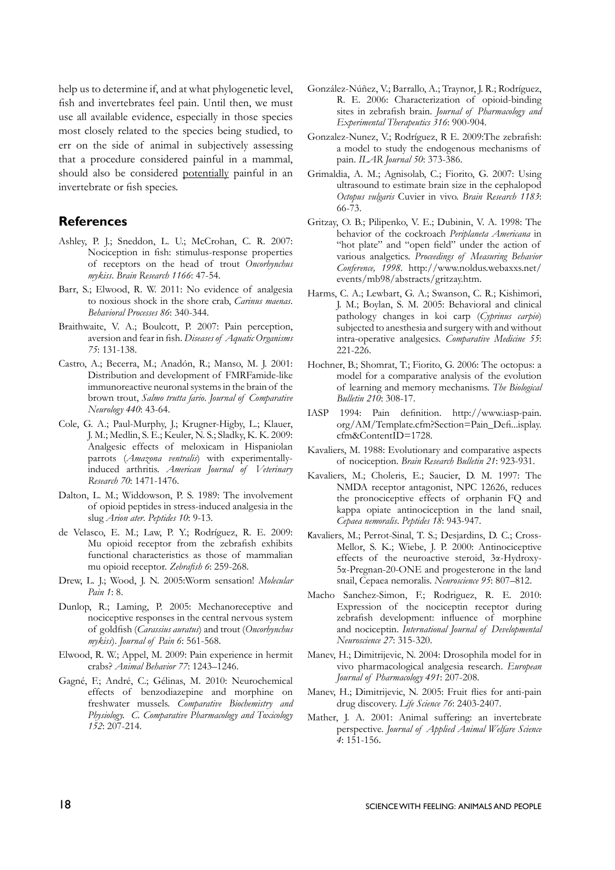help us to determine if, and at what phylogenetic level, fish and invertebrates feel pain. Until then, we must use all available evidence, especially in those species most closely related to the species being studied, to err on the side of animal in subjectively assessing that a procedure considered painful in a mammal, should also be considered potentially painful in an invertebrate or fish species.

#### **References**

- Ashley, P. J.; Sneddon, L. U.; McCrohan, C. R. 2007: Nociception in fish: stimulus-response properties of receptors on the head of trout *Oncorhynchus mykiss*. *Brain Research 1166*: 47-54.
- Barr, S.; Elwood, R. W. 2011: No evidence of analgesia to noxious shock in the shore crab, *Carinus maenas*. *Behavioral Processes 86*: 340-344.
- Braithwaite, V. A.; Boulcott, P. 2007: Pain perception, aversion and fear in fish. *Diseases of Aquatic Organisms 75*: 131-138.
- Castro, A.; Becerra, M.; Anadón, R.; Manso, M. J. 2001: Distribution and development of FMRFamide-like immunoreactive neuronal systems in the brain of the brown trout, *Salmo trutta fario*. *Journal of Comparative Neurology 440*: 43-64.
- Cole, G. A.; Paul-Murphy, J.; Krugner-Higby, L.; Klauer, J. M.; Medlin, S. E.; Keuler, N. S.; Sladky, K. K. 2009: Analgesic effects of meloxicam in Hispaniolan parrots (*Amazona ventralis*) with experimentallyinduced arthritis. *American Journal of Veterinary Research 70*: 1471-1476.
- Dalton, L. M.; Widdowson, P. S. 1989: The involvement of opioid peptides in stress-induced analgesia in the slug *Arion ater*. *Peptides 10*: 9-13.
- de Velasco, E. M.; Law, P. Y.; Rodríguez, R. E. 2009: Mu opioid receptor from the zebrafish exhibits functional characteristics as those of mammalian mu opioid receptor. *Zebrafish 6*: 259-268.
- Drew, L. J.; Wood, J. N. 2005:Worm sensation! *Molecular Pain 1*: 8.
- Dunlop, R.; Laming, P. 2005: Mechanoreceptive and nociceptive responses in the central nervous system of goldfish (*Carassius auratus*) and trout (*Oncorhynchus mykiss*). *Journal of Pain 6*: 561-568.
- Elwood, R. W.; Appel, M. 2009: Pain experience in hermit crabs? *Animal Behavior 77*: 1243–1246.
- Gagné, F.; André, C.; Gélinas, M. 2010: Neurochemical effects of benzodiazepine and morphine on freshwater mussels. *Comparative Biochemistry and Physiology. C. Comparative Pharmacology and Toxicology 152*: 207-214.
- González-Núñez, V.; Barrallo, A.; Traynor, J. R.; Rodríguez, R. E. 2006: Characterization of opioid-binding sites in zebrafish brain. *Journal of Pharmacology and Experimental Therapeutics 316*: 900-904.
- Gonzalez-Nunez, V.; Rodríguez, R E. 2009:The zebrafish: a model to study the endogenous mechanisms of pain. *ILAR Journal 50*: 373-386.
- Grimaldia, A. M.; Agnisolab, C.; Fiorito, G. 2007: Using ultrasound to estimate brain size in the cephalopod *Octopus vulgaris* Cuvier in vivo. *Brain Research 1183*: 66-73.
- Gritzay, O. B.; Pilipenko, V. E.; Dubinin, V. A. 1998: The behavior of the cockroach *Periplaneta Americana* in "hot plate" and "open field" under the action of various analgetics. *Proceedings of Measuring Behavior Conference, 1998*. http://www.noldus.webaxxs.net/ events/mb98/abstracts/gritzay.htm.
- Harms, C. A.; Lewbart, G. A.; Swanson, C. R.; Kishimori, J. M.; Boylan, S. M. 2005: Behavioral and clinical pathology changes in koi carp (*Cyprinus carpio*) subjected to anesthesia and surgery with and without intra-operative analgesics. *Comparative Medicine 55*: 221-226.
- Hochner, B.; Shomrat, T.; Fiorito, G. 2006: The octopus: a model for a comparative analysis of the evolution of learning and memory mechanisms. *The Biological Bulletin 210*: 308-17.
- IASP 1994: Pain definition. http://www.iasp-pain. org/AM/Template.cfm?Section=Pain\_Defi...isplay. cfm&ContentID=1728.
- Kavaliers, M. 1988: Evolutionary and comparative aspects of nociception. *Brain Research Bulletin 21*: 923-931.
- Kavaliers, M.; Choleris, E.; Saucier, D. M. 1997: The NMDA receptor antagonist, NPC 12626, reduces the pronociceptive effects of orphanin FQ and kappa opiate antinociception in the land snail, *Cepaea nemoralis*. *Peptides 18*: 943-947.
- Kavaliers, M.; Perrot-Sinal, T. S.; Desjardins, D. C.; Cross-Mellor, S. K.; Wiebe, J. P. 2000: Antinociceptive effects of the neuroactive steroid, 3α-Hydroxy-5α-Pregnan-20-ONE and progesterone in the land snail, Cepaea nemoralis. *Neuroscience 95*: 807–812.
- Macho Sanchez-Simon, F.; Rodriguez, R. E. 2010: Expression of the nociceptin receptor during zebrafish development: influence of morphine and nociceptin. *International Journal of Developmental Neuroscience 27*: 315-320.
- Manev, H.; Dimitrijevic, N. 2004: Drosophila model for in vivo pharmacological analgesia research. *European Journal of Pharmacology 491*: 207-208.
- Manev, H.; Dimitrijevic, N. 2005: Fruit flies for anti-pain drug discovery. *Life Science 76*: 2403-2407.
- Mather, J. A. 2001: Animal suffering: an invertebrate perspective. *Journal of Applied Animal Welfare Science 4*: 151-156.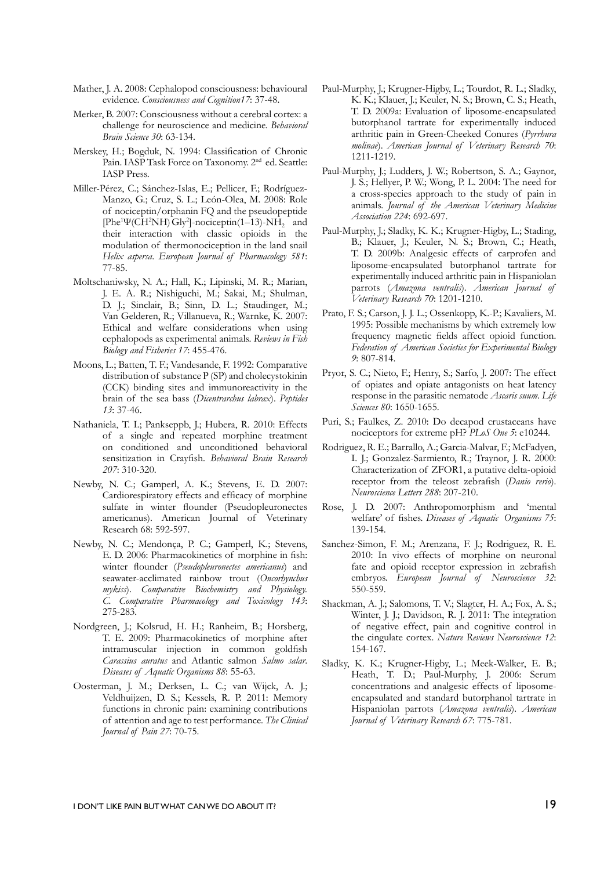- Mather, J. A. 2008: Cephalopod consciousness: behavioural evidence. *Consciousness and Cognition17*: 37-48.
- Merker, B. 2007: Consciousness without a cerebral cortex: a challenge for neuroscience and medicine. *Behavioral Brain Science 30*: 63-134.
- Merskey, H.; Bogduk, N. 1994: Classification of Chronic Pain. IASP Task Force on Taxonomy. 2<sup>nd</sup> ed. Seattle: IASP Press.
- Miller-Pérez, C.; Sánchez-Islas, E.; Pellicer, F.; Rodríguez-Manzo, G.; Cruz, S. L.; León-Olea, M. 2008: Role of nociceptin/orphanin FQ and the pseudopeptide [Phe<sup>1</sup> $\Psi$ (CH<sup>2</sup>NH) Gly<sup>2</sup>]-nociceptin(1–13)-NH<sub>2</sub> and their interaction with classic opioids in the modulation of thermonociception in the land snail *Helix aspersa*. *European Journal of Pharmacology 581*: 77-85.
- Moltschaniwsky, N. A.; Hall, K.; Lipinski, M. R.; Marian, J. E. A. R.; Nishiguchi, M.; Sakai, M.; Shulman, D. J.; Sinclair, B.; Sinn, D. L.; Staudinger, M.; Van Gelderen, R.; Villanueva, R.; Warnke, K. 2007: Ethical and welfare considerations when using cephalopods as experimental animals. *Reviews in Fish Biology and Fisheries 17*: 455-476.
- Moons, L.; Batten, T. F.; Vandesande, F. 1992: Comparative distribution of substance P (SP) and cholecystokinin (CCK) binding sites and immunoreactivity in the brain of the sea bass (*Dicentrarchus labrax*). *Peptides 13*: 37-46.
- Nathaniela, T. I.; Pankseppb, J.; Hubera, R. 2010: Effects of a single and repeated morphine treatment on conditioned and unconditioned behavioral sensitization in Crayfish. *Behavioral Brain Research 207*: 310-320.
- Newby, N. C.; Gamperl, A. K.; Stevens, E. D. 2007: Cardiorespiratory effects and efficacy of morphine sulfate in winter flounder (Pseudopleuronectes americanus). American Journal of Veterinary Research 68: 592-597.
- Newby, N. C.; Mendonça, P. C.; Gamperl, K.; Stevens, E. D. 2006: Pharmacokinetics of morphine in fish: winter flounder (*Pseudopleuronectes americanus*) and seawater-acclimated rainbow trout (*Oncorhynchus mykiss*). *Comparative Biochemistry and Physiology. C. Comparative Pharmacology and Toxicology 143*: 275-283.
- Nordgreen, J.; Kolsrud, H. H.; Ranheim, B.; Horsberg, T. E. 2009: Pharmacokinetics of morphine after intramuscular injection in common goldfish *Carassius auratus* and Atlantic salmon *Salmo salar*. *Diseases of Aquatic Organisms 88*: 55-63.
- Oosterman, J. M.; Derksen, L. C.; van Wijck, A. J.; Veldhuijzen, D. S.; Kessels, R. P. 2011: Memory functions in chronic pain: examining contributions of attention and age to test performance. *The Clinical Journal of Pain 27*: 70-75.
- Paul-Murphy, J.; Krugner-Higby, L.; Tourdot, R. L.; Sladky, K. K.; Klauer, J.; Keuler, N. S.; Brown, C. S.; Heath, T. D. 2009a: Evaluation of liposome-encapsulated butorphanol tartrate for experimentally induced arthritic pain in Green-Cheeked Conures (*Pyrrhura molinae*). *American Journal of Veterinary Research 70*: 1211-1219.
- Paul-Murphy, J.; Ludders, J. W.; Robertson, S. A.; Gaynor, J. S.; Hellyer, P. W.; Wong, P. L. 2004: The need for a cross-species approach to the study of pain in animals. *Journal of the American Veterinary Medicine Association 224*: 692-697.
- Paul-Murphy, J.; Sladky, K. K.; Krugner-Higby, L.; Stading, B.; Klauer, J.; Keuler, N. S.; Brown, C.; Heath, T. D. 2009b: Analgesic effects of carprofen and liposome-encapsulated butorphanol tartrate for experimentally induced arthritic pain in Hispaniolan parrots (*Amazona ventralis*). *American Journal of Veterinary Research 70*: 1201-1210.
- Prato, F. S.; Carson, J. J. L.; Ossenkopp, K.-P.; Kavaliers, M. 1995: Possible mechanisms by which extremely low frequency magnetic fields affect opioid function. *Federation of American Societies for Experimental Biology 9*: 807-814.
- Pryor, S. C.; Nieto, F.; Henry, S.; Sarfo, J. 2007: The effect of opiates and opiate antagonists on heat latency response in the parasitic nematode *Ascaris suum*. *Life Sciences 80*: 1650-1655.
- Puri, S.; Faulkes, Z. 2010: Do decapod crustaceans have nociceptors for extreme pH? *PLoS One 5*: e10244.
- Rodriguez, R. E.; Barrallo, A.; Garcia-Malvar, F.; McFadyen, I. J.; Gonzalez-Sarmiento, R.; Traynor, J. R. 2000: Characterization of ZFOR1, a putative delta-opioid receptor from the teleost zebrafish (*Danio rerio*). *Neuroscience Letters 288*: 207-210.
- Rose, J. D. 2007: Anthropomorphism and 'mental welfare' of fishes. *Diseases of Aquatic Organisms 75*: 139-154.
- Sanchez-Simon, F. M.; Arenzana, F. J.; Rodriguez, R. E. 2010: In vivo effects of morphine on neuronal fate and opioid receptor expression in zebrafish embryos. *European Journal of Neuroscience 32*: 550-559.
- Shackman, A. J.; Salomons, T. V.; Slagter, H. A.; Fox, A. S.; Winter, J. J.; Davidson, R. J. 2011: The integration of negative effect, pain and cognitive control in the cingulate cortex. *Nature Reviews Neuroscience 12*: 154-167.
- Sladky, K. K.; Krugner-Higby, L.; Meek-Walker, E. B.; Heath, T. D.; Paul-Murphy, J. 2006: Serum concentrations and analgesic effects of liposomeencapsulated and standard butorphanol tartrate in Hispaniolan parrots (*Amazona ventralis*). *American Journal of Veterinary Research 67*: 775-781.